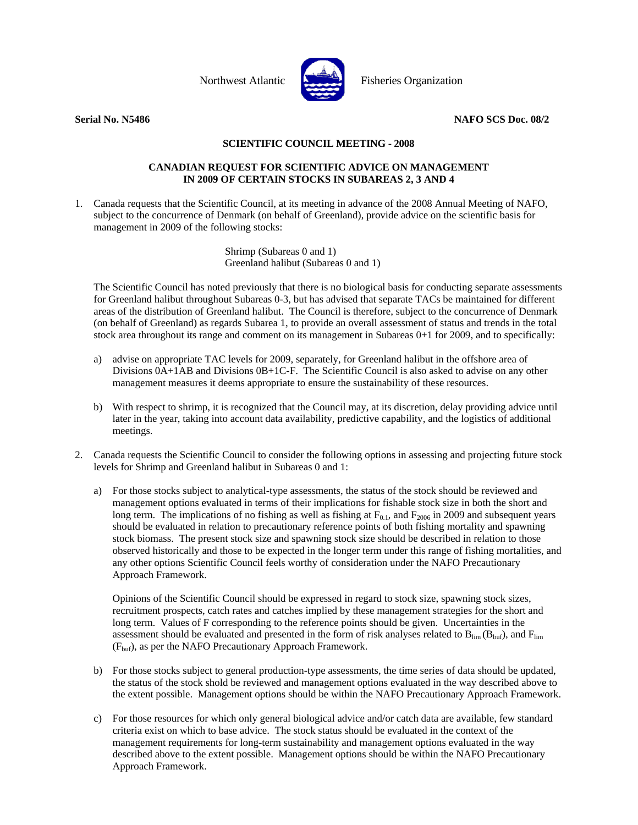

Northwest Atlantic **Northus** Fisheries Organization

**Serial No. N5486 NAFO SCS Doc. 08/2**

## **SCIENTIFIC COUNCIL MEETING - 2008**

## **CANADIAN REQUEST FOR SCIENTIFIC ADVICE ON MANAGEMENT IN 2009 OF CERTAIN STOCKS IN SUBAREAS 2, 3 AND 4**

1. Canada requests that the Scientific Council, at its meeting in advance of the 2008 Annual Meeting of NAFO, subject to the concurrence of Denmark (on behalf of Greenland), provide advice on the scientific basis for management in 2009 of the following stocks:

> Shrimp (Subareas 0 and 1) Greenland halibut (Subareas 0 and 1)

 The Scientific Council has noted previously that there is no biological basis for conducting separate assessments for Greenland halibut throughout Subareas 0-3, but has advised that separate TACs be maintained for different areas of the distribution of Greenland halibut. The Council is therefore, subject to the concurrence of Denmark (on behalf of Greenland) as regards Subarea 1, to provide an overall assessment of status and trends in the total stock area throughout its range and comment on its management in Subareas 0+1 for 2009, and to specifically:

- a) advise on appropriate TAC levels for 2009, separately, for Greenland halibut in the offshore area of Divisions 0A+1AB and Divisions 0B+1C-F. The Scientific Council is also asked to advise on any other management measures it deems appropriate to ensure the sustainability of these resources.
- b) With respect to shrimp, it is recognized that the Council may, at its discretion, delay providing advice until later in the year, taking into account data availability, predictive capability, and the logistics of additional meetings.
- 2. Canada requests the Scientific Council to consider the following options in assessing and projecting future stock levels for Shrimp and Greenland halibut in Subareas 0 and 1:
	- a) For those stocks subject to analytical-type assessments, the status of the stock should be reviewed and management options evaluated in terms of their implications for fishable stock size in both the short and long term. The implications of no fishing as well as fishing at  $F_{0.1}$ , and  $F_{2006}$  in 2009 and subsequent years should be evaluated in relation to precautionary reference points of both fishing mortality and spawning stock biomass. The present stock size and spawning stock size should be described in relation to those observed historically and those to be expected in the longer term under this range of fishing mortalities, and any other options Scientific Council feels worthy of consideration under the NAFO Precautionary Approach Framework.

 Opinions of the Scientific Council should be expressed in regard to stock size, spawning stock sizes, recruitment prospects, catch rates and catches implied by these management strategies for the short and long term. Values of F corresponding to the reference points should be given. Uncertainties in the assessment should be evaluated and presented in the form of risk analyses related to  $B_{\text{lim}}(B_{\text{buf}})$ , and  $F_{\text{lim}}$  $(F_{\text{buf}})$ , as per the NAFO Precautionary Approach Framework.

- b) For those stocks subject to general production-type assessments, the time series of data should be updated, the status of the stock shold be reviewed and management options evaluated in the way described above to the extent possible. Management options should be within the NAFO Precautionary Approach Framework.
- c) For those resources for which only general biological advice and/or catch data are available, few standard criteria exist on which to base advice. The stock status should be evaluated in the context of the management requirements for long-term sustainability and management options evaluated in the way described above to the extent possible. Management options should be within the NAFO Precautionary Approach Framework.